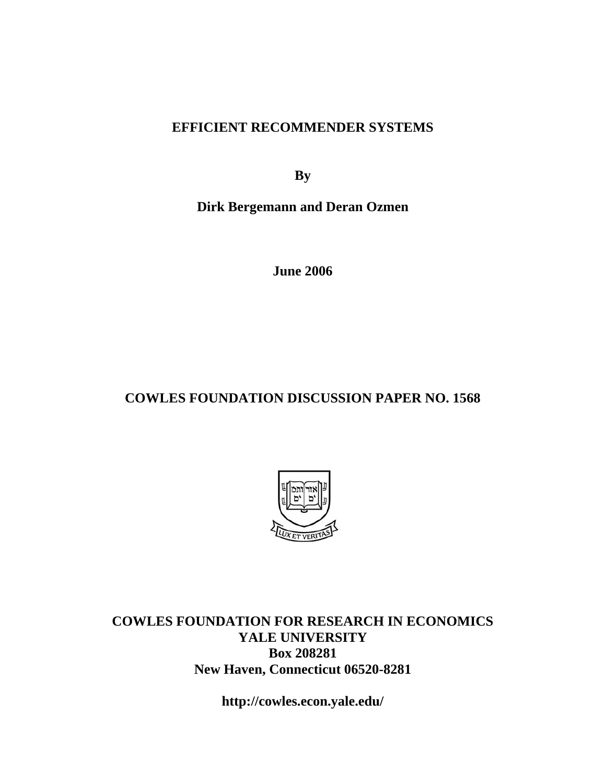# **EFFICIENT RECOMMENDER SYSTEMS**

**By** 

**Dirk Bergemann and Deran Ozmen** 

**June 2006** 

# **COWLES FOUNDATION DISCUSSION PAPER NO. 1568**



**COWLES FOUNDATION FOR RESEARCH IN ECONOMICS YALE UNIVERSITY Box 208281 New Haven, Connecticut 06520-8281** 

**http://cowles.econ.yale.edu/**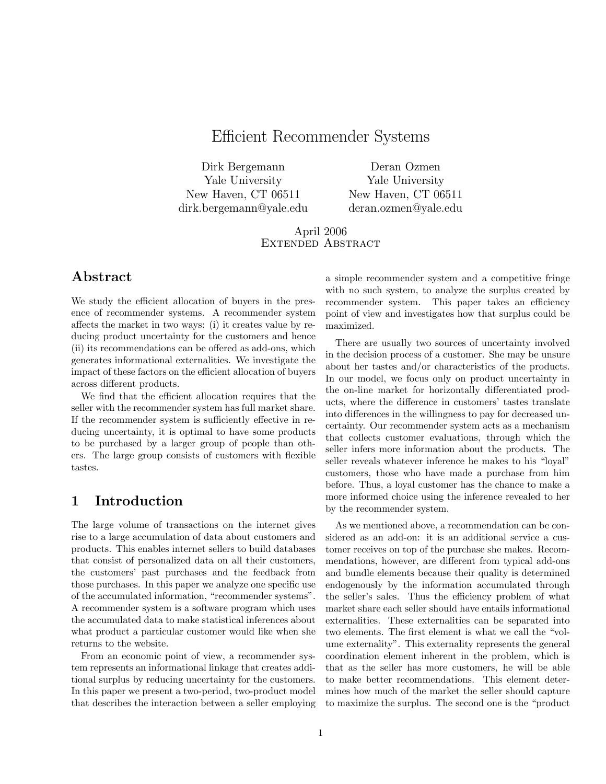# Efficient Recommender Systems

Dirk Bergemann Yale University New Haven, CT 06511 dirk.bergemann@yale.edu

Deran Ozmen Yale University New Haven, CT 06511 deran.ozmen@yale.edu

April 2006 Extended Abstract

## Abstract

We study the efficient allocation of buyers in the presence of recommender systems. A recommender system affects the market in two ways:  $(i)$  it creates value by reducing product uncertainty for the customers and hence (ii) its recommendations can be offered as add-ons, which generates informational externalities. We investigate the impact of these factors on the efficient allocation of buyers across different products.

We find that the efficient allocation requires that the seller with the recommender system has full market share. If the recommender system is sufficiently effective in reducing uncertainty, it is optimal to have some products to be purchased by a larger group of people than others. The large group consists of customers with flexible tastes.

## 1 Introduction

The large volume of transactions on the internet gives rise to a large accumulation of data about customers and products. This enables internet sellers to build databases that consist of personalized data on all their customers, the customers' past purchases and the feedback from those purchases. In this paper we analyze one specific use of the accumulated information, "recommender systems". A recommender system is a software program which uses the accumulated data to make statistical inferences about what product a particular customer would like when she returns to the website.

From an economic point of view, a recommender system represents an informational linkage that creates additional surplus by reducing uncertainty for the customers. In this paper we present a two-period, two-product model that describes the interaction between a seller employing a simple recommender system and a competitive fringe with no such system, to analyze the surplus created by recommender system. This paper takes an efficiency point of view and investigates how that surplus could be maximized.

There are usually two sources of uncertainty involved in the decision process of a customer. She may be unsure about her tastes and/or characteristics of the products. In our model, we focus only on product uncertainty in the on-line market for horizontally differentiated products, where the difference in customers' tastes translate into differences in the willingness to pay for decreased uncertainty. Our recommender system acts as a mechanism that collects customer evaluations, through which the seller infers more information about the products. The seller reveals whatever inference he makes to his "loyal" customers, those who have made a purchase from him before. Thus, a loyal customer has the chance to make a more informed choice using the inference revealed to her by the recommender system.

As we mentioned above, a recommendation can be considered as an add-on: it is an additional service a customer receives on top of the purchase she makes. Recommendations, however, are different from typical add-ons and bundle elements because their quality is determined endogenously by the information accumulated through the seller's sales. Thus the efficiency problem of what market share each seller should have entails informational externalities. These externalities can be separated into two elements. The first element is what we call the "volume externality". This externality represents the general coordination element inherent in the problem, which is that as the seller has more customers, he will be able to make better recommendations. This element determines how much of the market the seller should capture to maximize the surplus. The second one is the \product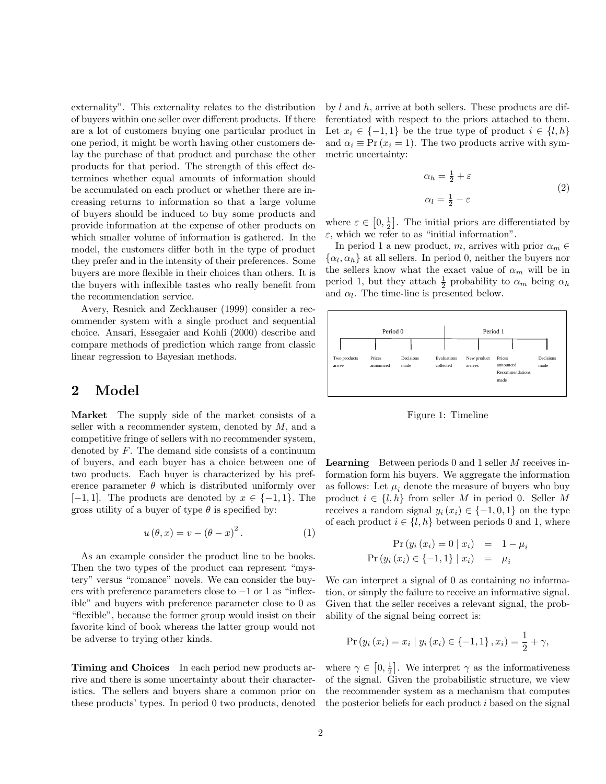externality". This externality relates to the distribution of buyers within one seller over different products. If there are a lot of customers buying one particular product in one period, it might be worth having other customers delay the purchase of that product and purchase the other products for that period. The strength of this effect determines whether equal amounts of information should be accumulated on each product or whether there are increasing returns to information so that a large volume of buyers should be induced to buy some products and provide information at the expense of other products on which smaller volume of information is gathered. In the model, the customers differ both in the type of product they prefer and in the intensity of their preferences. Some buyers are more flexible in their choices than others. It is the buyers with inflexible tastes who really benefit from the recommendation service.

Avery, Resnick and Zeckhauser (1999) consider a recommender system with a single product and sequential choice. Ansari, Essegaier and Kohli (2000) describe and compare methods of prediction which range from classic linear regression to Bayesian methods.

## 2 Model

Market The supply side of the market consists of a seller with a recommender system, denoted by  $M$ , and a competitive fringe of sellers with no recommender system, denoted by  $F$ . The demand side consists of a continuum of buyers, and each buyer has a choice between one of two products. Each buyer is characterized by his preference parameter  $\theta$  which is distributed uniformly over  $[-1, 1]$ . The products are denoted by  $x \in \{-1, 1\}$ . The gross utility of a buyer of type  $\theta$  is specified by:

$$
u(\theta, x) = v - (\theta - x)^2.
$$
 (1)

As an example consider the product line to be books. Then the two types of the product can represent "mystery" versus \romance" novels. We can consider the buyers with preference parameters close to  $-1$  or 1 as "inflexible" and buyers with preference parameter close to 0 as "flexible", because the former group would insist on their favorite kind of book whereas the latter group would not be adverse to trying other kinds.

Timing and Choices In each period new products arrive and there is some uncertainty about their characteristics. The sellers and buyers share a common prior on these products' types. In period 0 two products, denoted by  $l$  and  $h$ , arrive at both sellers. These products are differentiated with respect to the priors attached to them. Let  $x_i \in \{-1, 1\}$  be the true type of product  $i \in \{l, h\}$ and  $\alpha_i \equiv \Pr(x_i = 1)$ . The two products arrive with symmetric uncertainty:

$$
\alpha_h = \frac{1}{2} + \varepsilon
$$
  
\n
$$
\alpha_l = \frac{1}{2} - \varepsilon
$$
\n(2)

where  $\varepsilon \in [0, \frac{1}{2}]$ . The initial priors are differentiated by  $\varepsilon$ , which we refer to as "initial information".

In period 1 a new product, m, arrives with prior  $\alpha_m \in$  $\{\alpha_l, \alpha_h\}$  at all sellers. In period 0, neither the buyers nor the sellers know what the exact value of  $\alpha_m$  will be in period 1, but they attach  $\frac{1}{2}$  probability to  $\alpha_m$  being  $\alpha_h$ and  $\alpha_l$ . The time-line is presented below.



Figure 1: Timeline

**Learning** Between periods  $0$  and  $1$  seller  $M$  receives information form his buyers. We aggregate the information as follows: Let  $\mu_i$  denote the measure of buyers who buy product  $i \in \{l, h\}$  from seller M in period 0. Seller M receives a random signal  $y_i(x_i) \in \{-1, 0, 1\}$  on the type of each product  $i \in \{l, h\}$  between periods 0 and 1, where

$$
\Pr(y_i(x_i) = 0 | x_i) = 1 - \mu_i \n\Pr(y_i(x_i) \in \{-1, 1\} | x_i) = \mu_i
$$

We can interpret a signal of 0 as containing no information, or simply the failure to receive an informative signal. Given that the seller receives a relevant signal, the probability of the signal being correct is:

$$
Pr(y_i(x_i) = x_i | y_i(x_i) \in \{-1, 1\}, x_i) = \frac{1}{2} + \gamma,
$$

where  $\gamma \in [0, \frac{1}{2}]$ . We interpret  $\gamma$  as the informativeness of the signal. Given the probabilistic structure, we view the recommender system as a mechanism that computes the posterior beliefs for each product  $i$  based on the signal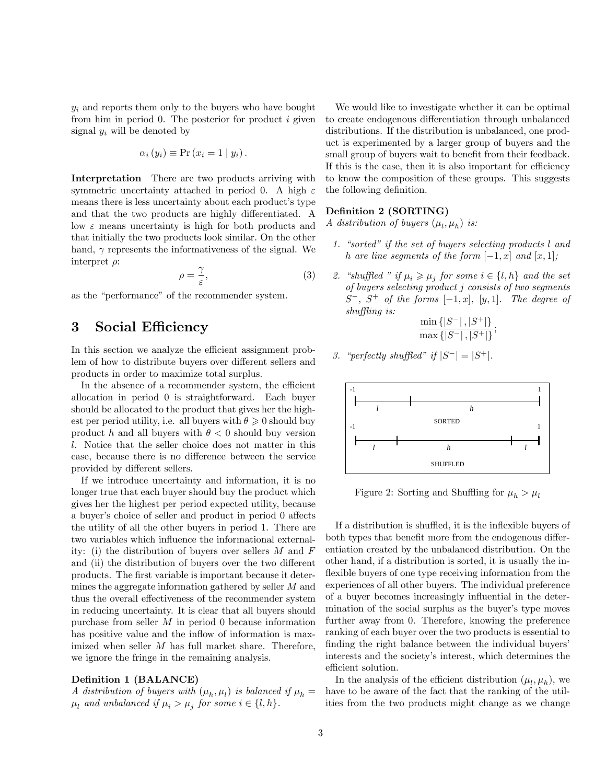$y_i$  and reports them only to the buyers who have bought from him in period  $0$ . The posterior for product  $i$  given signal  $y_i$  will be denoted by

$$
\alpha_i(y_i) \equiv \Pr(x_i = 1 \mid y_i).
$$

Interpretation There are two products arriving with symmetric uncertainty attached in period 0. A high  $\varepsilon$ means there is less uncertainty about each product's type and that the two products are highly differentiated. A low  $\varepsilon$  means uncertainty is high for both products and that initially the two products look similar. On the other hand,  $\gamma$  represents the informativeness of the signal. We interpret  $\rho$ :

$$
\rho = \frac{\gamma}{\varepsilon},\tag{3}
$$

as the "performance" of the recommender system.

## 3 Social Efficiency

In this section we analyze the efficient assignment problem of how to distribute buyers over different sellers and products in order to maximize total surplus.

In the absence of a recommender system, the efficient allocation in period 0 is straightforward. Each buyer should be allocated to the product that gives her the highest per period utility, i.e. all buyers with  $\theta \geq 0$  should buy product h and all buyers with  $\theta < 0$  should buy version l. Notice that the seller choice does not matter in this case, because there is no difference between the service provided by different sellers.

If we introduce uncertainty and information, it is no longer true that each buyer should buy the product which gives her the highest per period expected utility, because a buyer's choice of seller and product in period 0 affects the utility of all the other buyers in period 1. There are two variables which influence the informational externality: (i) the distribution of buyers over sellers  $M$  and  $F$ and (ii) the distribution of buyers over the two different products. The first variable is important because it determines the aggregate information gathered by seller M and thus the overall effectiveness of the recommender system in reducing uncertainty. It is clear that all buyers should purchase from seller  $M$  in period 0 because information has positive value and the inflow of information is maximized when seller M has full market share. Therefore, we ignore the fringe in the remaining analysis.

### Definition 1 (BALANCE)

A distribution of buyers with  $(\mu_h, \mu_l)$  is balanced if  $\mu_h =$  $\mu_l$  and unbalanced if  $\mu_i > \mu_j$  for some  $i \in \{l, h\}.$ 

We would like to investigate whether it can be optimal to create endogenous differentiation through unbalanced distributions. If the distribution is unbalanced, one product is experimented by a larger group of buyers and the small group of buyers wait to benefit from their feedback. If this is the case, then it is also important for efficiency to know the composition of these groups. This suggests the following definition.

### Definition 2 (SORTING)

A distribution of buyers  $(\mu_l, \mu_h)$  is:

- 1. "sorted" if the set of buyers selecting products  $l$  and h are line segments of the form  $[-1, x]$  and  $[x, 1]$ ;
- 2. "shuffled " if  $\mu_i \ge \mu_j$  for some  $i \in \{l, h\}$  and the set of buyers selecting product j consists of two segments  $S^-$ ,  $S^+$  of the forms  $[-1, x]$ ,  $[y, 1]$ . The degree of  $shuffling$  is:

$$
\frac{\min\{|S^-|, |S^+|\}}{\max\{|S^-|, |S^+|\}},
$$

3. "perfectly shuffled" if  $|S^-| = |S^+|$ .



Figure 2: Sorting and Shuffling for  $\mu_h > \mu_l$ 

If a distribution is shuffled, it is the inflexible buyers of both types that benefit more from the endogenous differentiation created by the unbalanced distribution. On the other hand, if a distribution is sorted, it is usually the in flexible buyers of one type receiving information from the experiences of all other buyers. The individual preference of a buyer becomes increasingly in
uential in the determination of the social surplus as the buyer's type moves further away from 0. Therefore, knowing the preference ranking of each buyer over the two products is essential to finding the right balance between the individual buyers' interests and the society's interest, which determines the efficient solution.

In the analysis of the efficient distribution  $(\mu_l, \mu_h)$ , we have to be aware of the fact that the ranking of the utilities from the two products might change as we change